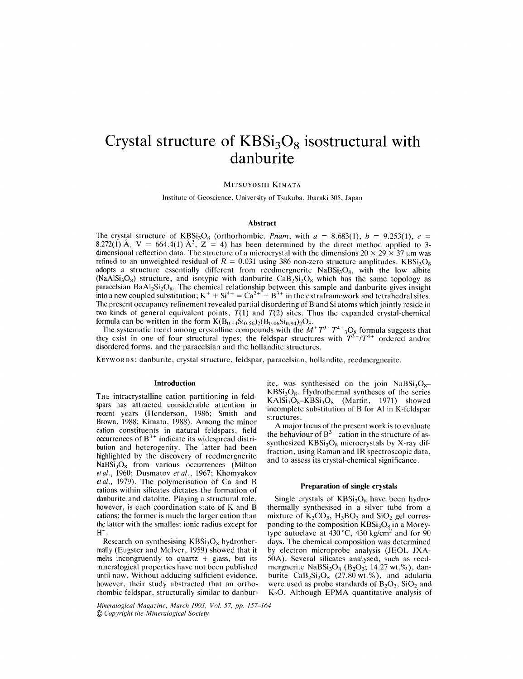# Crystal structure of  $KBSi<sub>3</sub>O<sub>8</sub>$  isostructural with danburite

MITSUYOSHI KIMATA

Institute of Geoscience, University of Tsukuba, Ibaraki 305, Japan

# Abstract

The crystal structure of  $KBSi<sub>3</sub>O<sub>8</sub>$  (orthorhombic, *Pnam*, with  $a = 8.683(1)$ ,  $b = 9.253(1)$ ,  $c =$ 8.272(1) Å,  $V = 664.4(1)$  Å<sup>3</sup>, Z = 4) has been determined by the direct method applied to 3dimensional reflection data. The structure of a microcrystal with the dimensions  $20 \times 29 \times 37$  µm was refined to an unweighted residual of  $R = 0.031$  using 386 non-zero structure amplitudes. KBSi<sub>3</sub>O<sub>s</sub> adopts a structure essentially different from reedmergnerite  $NABSi<sub>3</sub>O<sub>8</sub>$ , with the low albite (NaAlSi<sub>3</sub>O<sub>8</sub>) structure, and isotypic with danburite CaB<sub>2</sub>Si<sub>2</sub>O<sub>8</sub> which has the same topology as paracelsian BaAl<sub>2</sub>Si<sub>2</sub>O<sub>8</sub>. The chemical relationship between this sample and danburite gives insight into a new coupled substitution;  $K^+ + Si^{4+} = Ca^{2+} + B^{3+}$  in the extraframework and tetrahedral sites. The present occupancy refinement revealed partial disordering of Band Si atoms which jointly reside in two kinds of general equivalent points,  $\hat{T}(1)$  and  $T(2)$  sites. Thus the expanded crystal-chemical formula can be written in the form  $K(B_{0.44}Si_{0.56})_2(B_{0.06}Si_{0.94})_2O_8$ .

The systematic trend among crystalline compounds with the  $M^+T^{3+}T^{4+}{}_{3}O_8$  formula suggests that they exist in one of four structural types; the feldspar structures with *T3+/T4+* ordered and/or disordered forms, and the paracelsian and the hollandite structures,

KEYWORDS: danburite, crystal structure, feldspar, paracelsian, hollandite, reedmergnerite.

## Introduction

THE intracrystalline cation partitioning in feldspars has attracted considerable attention in recent years (Henderson, 1986; Smith and Brown, 1988; Kimata, 1988). Among the minor cation constituents in natural feldspars, field  $\frac{1}{2}$  occurrences of  $B^{3+}$  indicate its widespread distribution and heterogenity. The latter had been highlighted by the discovery of reedmergnerite  $NaBSi<sub>3</sub>O<sub>8</sub>$  from various occurrences (Milton *etal.,* 1960; Dusmatov *etal.,* 1967; Khomyakov *etal.,* 1979). The polymerisation of Ca and B cations within silicates dictates the formation of danburite and datolite. Playing a structural role, however, is each coordination state of K and B cations; the former is much the larger cation than the latter with the smallest ionic radius except for  $H^+$ .

Research on synthesising  $KBSi<sub>3</sub>O<sub>8</sub>$  hydrothermally (Eugster and McIver, 1959) showed that it melts incongruently to quartz  $+$  glass, but its mineralogical properties have not been published until now, Without adducing sufficient evidence, however, their study abstracted that an orthorhombic feldspar, structurally similar to danbur-

Mineralogical Magazine, March 1993, Vol. 57, pp. 157-164 @ Copyright the Mineralogical Society

ite, was synthesised on the join  $NaBSi<sub>3</sub>O<sub>s</sub>$  $KBSi<sub>3</sub>O<sub>8</sub>$ . Hydrothermal syntheses of the series  $KAlSi<sub>3</sub>O<sub>8</sub> - KBSi<sub>3</sub>O<sub>8</sub>$  (Martin, 1971) showed incomplete substitution of B for Al in K-feldspar structures.

A major focus of the present work is to evaluate the behaviour of  $B^{3+}$  cation in the structure of assynthesized  $KBSi<sub>3</sub>O<sub>8</sub>$  microcrystals by X-ray diffraction, using Raman and IR spectroscopic data, and to assess its crystal-chemical significance.

#### Preparation of single crystals

Single crystals of  $KBSi<sub>3</sub>O<sub>8</sub>$  have been hydrothermally synthesised in a silver tube from a mixture of  $K_2CO_3$ ,  $H_3BO_3$  and  $SiO_2$  gel corresponding to the composition  $KBSi<sub>3</sub>O<sub>8</sub>$  in a Moreytype autoclave at  $430^{\circ}$ C,  $430 \text{ kg/cm}^2$  and for  $90$ days. The chemical composition was determined by electron microprobe analysis (lEOL JXA-50A). Several silicates analysed, such as reedmergnerite NaBSi<sub>3</sub>O<sub>8</sub> (B<sub>2</sub>O<sub>3</sub>; 14.27 wt.%), danburite  $CaB_2Si_2O_8$  (27.80 wt.%), and adularia were used as probe standards of  $B_2O_3$ ,  $SiO_2$  and  $K<sub>2</sub>O$ . Although EPMA quantitative analysis of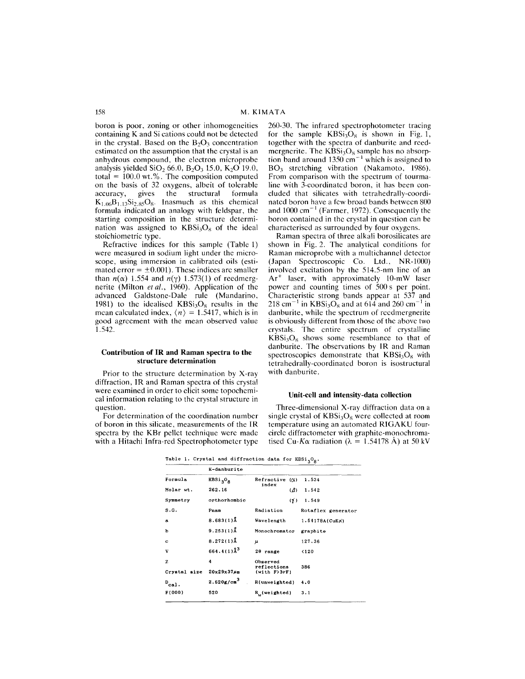boron is poor, zoning or other inhomogeneities containing K and Si cations could not be detected in the crystal. Based on the  $B_2O_3$  concentration estimated on the assumption that the crystal is an anhydrous compound, the electron microprobe analysis yielded  $SiO_2$  66.0,  $B_2O_3$  15.0,  $K_2O$  19.0, total  $= 100.0$  wt.%. The composition computed on the basis of 32 oxygens, albeit of tolerable<br>accuracy, gives the structural formula accuracy, gives the structural formula  $K_{1.06}B_{1.13}Si_{2.85}O_8$ . Inasmuch as this chemical formula indicated an analogy with feldspar, the starting composition in the structure dctermination was assigned to  $KBSi<sub>3</sub>O<sub>8</sub>$  of the ideal stoichiometric type.

Refractivc indices for this sample (Table I) were measured in sodium light under the microscope, using immersion in calibrated oils (estimated error  $= \pm 0.001$ ). These indices arc smaller than  $n(\alpha)$  1.554 and  $n(\gamma)$  1.573(1) of reedmergnerite (Milton *et al.,* 1960). Application of the advanced Galdstone-Oale rule (Mandarino, 1981) to the idealised  $KBSi<sub>3</sub>O<sub>8</sub>$  results in the mean calculated index,  $\langle n \rangle = 1.5417$ , which is in good agreement with the mean observed value 1.542.

#### Contribution of IR and Raman spectra to the structure determination

Prior to the structure dctermination by X-ray diffraction, IR and Raman spectra of this crystal were examined in order to elicit some topochemical information relating to the crystal structure in question.

For determination of the coordination number of boron in this silicate, measurements of the IR spectra by the KBr pellet technique were made with a Hitachi Infra-red Spectrophotometer type 260-30. The infrared spectrophotometer tracing for the sample  $KBSi<sub>3</sub>O<sub>8</sub>$  is shown in Fig. 1, together with the spectra of danburite and reedmergnerite. The  $KBSi<sub>3</sub>O<sub>8</sub>$  sample has no absorption band around  $1350 \text{ cm}^{-1}$  which is assigned to B03 stretching vibration (Nakamoto, 1986). From comparison with the spectrum of tourmaline with 3-coordinated boron, it has been concluded that silicates with tetrahedrally-coordinated boron have a few broad bands betwecn 800 and  $1000 \text{ cm}^{-1}$  (Farmer, 1972). Consequently the boron contained in the crystal in question can be characteriscd as surrounded by four oxygens.

Raman spectra of three alkali borosilicates are shown in Fig. 2. The analytical conditions for Raman microprobe with a multichannel detector (Japan Spectroscopic Co. Ltd., NR-IOOO) involved excitation by the 5I4.5-nm line of an  $Ar^+$  laser, with approximately 10-mW laser power and counting times of 500 s per point. Characteristic strong bands appear at 537 and  $218 \text{ cm}^{-1}$  in KBSi<sub>3</sub>O<sub>8</sub> and at 614 and 260 cm<sup>-1</sup> in danburite, while the spectrum of reedmergnerite is obviously different from those of the above two crystals. The entire spectrum of crystalline  $KBSi<sub>3</sub>O<sub>8</sub>$  shows some resemblance to that of danburite. The observations by IR and Raman spectroscopies demonstrate that  $KBSi<sub>3</sub>O<sub>8</sub>$  with tetrahedrally-coordinated boron is isostructural with danburite.

## Unit-cell and intensity-data collection

Three-dimensional X-ray diffraction data on a single crystal of  $KBSi<sub>3</sub>O<sub>8</sub>$  were collected at room temperature using an automated RIGAKU fourcircle diffractometer with graphite-monochromatised Cu-K $\alpha$  radiation ( $\lambda = 1.54178$  Å) at 50 kV

Table 1. Crystal and diffraction data for  $KBSi<sub>3</sub>O<sub>g</sub>$ .

|              | K-danburite                      |                                     |                       |  |  |
|--------------|----------------------------------|-------------------------------------|-----------------------|--|--|
| Formula      | KBSi <sub>3</sub> O <sub>R</sub> | Refractive<br>$(\alpha)$<br>index   | 1.534                 |  |  |
| Molar wt.    | 262.16                           | $\langle \beta \rangle$             | 1.542                 |  |  |
| Symmetry     | orthorhombic                     | $\langle \gamma \rangle$            | 1.549                 |  |  |
| S.G.         | Pnam                             | Radiation                           | Rotaflex generator    |  |  |
| $\mathbf{a}$ | $8.683(1)$ Å                     | Wavelength                          | $1.54178A(CuK\alpha)$ |  |  |
| ь            | $9.253(1)$ Å                     | Monochromator                       | graphite              |  |  |
| c            | $8.272(1)$ Å                     | μ                                   | 127,36                |  |  |
| v            | $664.4(1)\AA^{3}$                | 20 range                            | <120                  |  |  |
| z            | 4                                | Observed                            |                       |  |  |
| Crystal size | $20x29x37\mu$ m                  | reflections<br>$(with F)3\sigma F)$ | 386                   |  |  |
| $D_{cal}$ .  | 2.620 g/cm <sup>3</sup>          | R(unweighted)                       | 4.0                   |  |  |
| F(000)       | 520                              | R (weighted)                        | 3.1                   |  |  |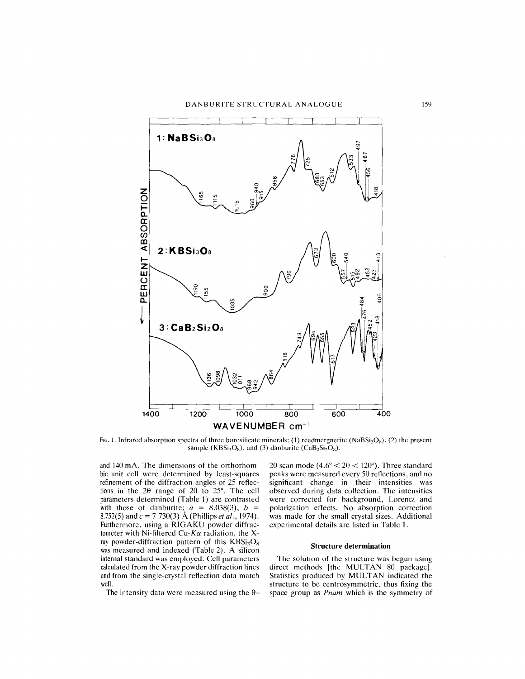

FIG. 1. Infrared absorption spectra of three borosilicate minerals; (1) reedmergnerite (NaBSi<sub>3</sub>O<sub>s</sub>), (2) the present sample (KBSi<sub>3</sub>O<sub>8</sub>), and (3) danburite (CaB<sub>2</sub>Si<sub>2</sub>O<sub>8</sub>).

and 140 mA. The dimensions of the orthorhombic unit cell were determined by least-squares refinement of the diffraction angles of 25 reflections in the  $2\theta$  range of  $20$  to  $25^\circ$ . The cell parameters determined (Table 1) are contrasted with those of danburite;  $a = 8.038(3)$ ,  $b =$ 8.752(5)and c = 7.730(3) A (Phillips *et al., 1974).* Furthermore, using a RIGAKU powder diffractometer with Ni-filtered Cu- $K\alpha$  radiation, the Xray powder-diffraction pattern of this  $KBSi<sub>3</sub>O<sub>8</sub>$ was measured and indexed (Table 2). A silicon internal standard was employed. Cell parameters calculated from the X-ray powder diffraction lines and from the single-crystal reflection data match well.

The intensity data were measured using the  $\theta$ -

 $2\theta$  scan mode (4.6° <  $2\theta$  < 120°). Three standard peaks were measured every 50 reflections, and no significant change in their intensities was observed during data collection. The intensities were corrected for background, Lorentz and polarization effects. No absorption correction was made for the small crystal sizes. Additional experimental details are listed in Table 1.

## Structure determination

The solution of the structure was begun using direct methods [the MULTAN 80 package]. Statistics produced by MULTAN indicated the structure to be centrosymmetric, thus fixing the space group as *Pnam* which is the symmetry of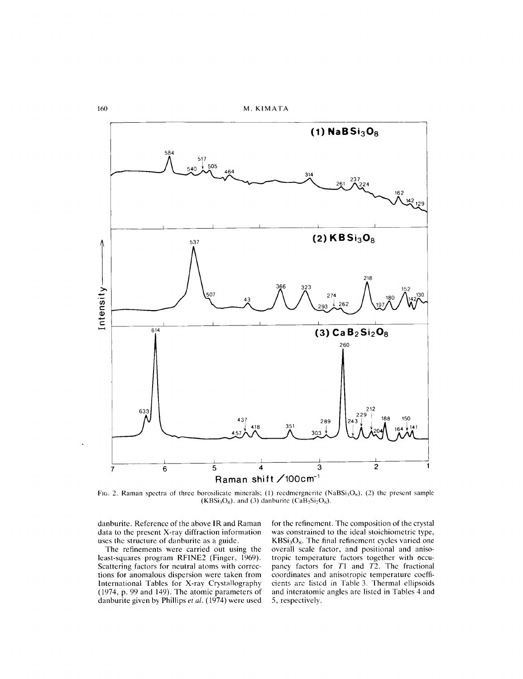

FIG. 2. Raman spectra of three borosilicate minerals; (1) reedmergnerite (NaBSi<sub>3</sub>O<sub>8</sub>), (2) the present sample  $(KBSi<sub>3</sub>O<sub>8</sub>)$ , and (3) danburite  $(CaB<sub>2</sub>Si<sub>2</sub>O<sub>8</sub>)$ .

danburite. Reference of the above **IR** and Raman data to the present X-ray diffraction information uses the structure of danburite as a guide.

The refinements were carried out using the least-squares program RFINE2 (Finger, 1969). Scattering factors for neutral atoms with corrections for anomalous dispersion were taken from International Tables for X-ray Crystallography (1974, p. 99 and 149). The atomic parameters of danburite given by Phillips *et al.* (1974) were used

for the refinement. The composition of the crystal was constrained to the ideal stoichiometric type,  $KBSi<sub>3</sub>O<sub>8</sub>$ . The final refinement cycles varied one overall scale factor, and positional and anisotropic temperature factors together with occupancy factors for  $T1$  and  $T2$ . The fractional coordinates and anisotropic temperature coefficients are listed in Table 3. Thermal ellipsoids and interatomic angles are listed in Tables 4 and 5, respectively.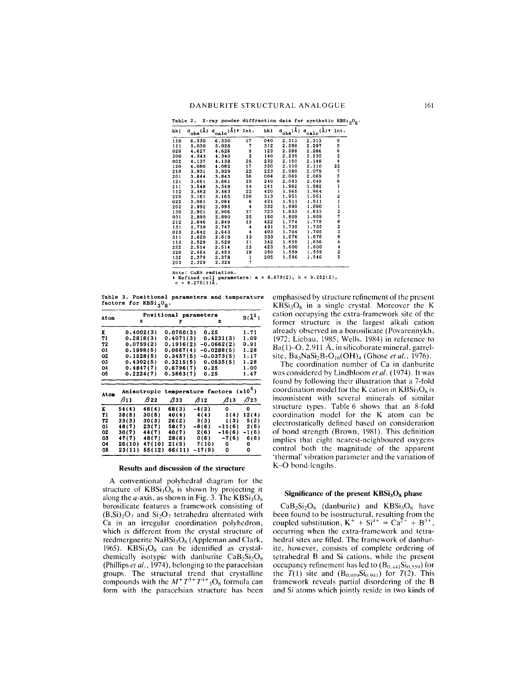**Table 2. X-ray powder diffraction data** for **synthetic**  $KBSi<sub>3</sub>O<sub>8</sub>$ .

| hk1 | $d_{\rm obs}(\text{\AA})$ | $d_{calc}(\hat{A})$ * Int. |                      | hk 1 |       | $d_{obs}(\hat{A}) d_{calc}(\hat{A})$ * Int. |                   |
|-----|---------------------------|----------------------------|----------------------|------|-------|---------------------------------------------|-------------------|
| 110 | 6.330                     | 6.330                      | 17                   | 040  | 2.313 | 2.313                                       | 9                 |
| 111 | 5.030                     | 5.028                      | 7                    | 312  | 2.298 | 2.297                                       | 5                 |
| 020 | 4.627                     | 4.626                      | 5                    | 123  | 2.288 | 2.286                                       | $\frac{6}{2}$     |
| 200 | 4.343                     | 4.340                      | $\overline{c}$       | 140  | 2.235 | 2.235                                       |                   |
| 002 | 4.137                     | 4.138                      | 25                   | 232  | 2.150 | 2.148                                       | 4                 |
| 120 | 4.080                     | 4.082                      | 17                   | 330  | 2.110 | 2.110                                       | 22                |
| 210 | 3.931                     | 3,929                      | 22                   | 223  | 2.080 | 2.079                                       | 7                 |
| 201 | 3.844                     | 3.843                      | 56                   | 004  | 2.069 | 2.069                                       |                   |
| 121 | 3.661                     | 3.661                      | 25                   | 240  | 2.043 | 2.045                                       |                   |
| 211 | 3.548                     | 3.549                      | 14                   | 241  | 1.982 | 1.982                                       |                   |
| 112 | 3.462                     | 3.463                      | 22                   | 420  | 1.965 | 1,964                                       |                   |
| 220 | 3.161                     | 3.165                      | 100                  | 313  | 1.951 | 1.951                                       |                   |
| 022 | 3.081                     | 3.084                      | 6                    | 421  | 1.911 | 1.911                                       |                   |
| 202 | 2.992                     | 2.995                      | $\ddot{4}$           | 332  | 1,880 | 1.880                                       |                   |
| 130 | 2.901                     | 2.906                      | 37                   | 323  | 1.833 | 1.833                                       |                   |
| 031 | 2.890                     | 2.890                      | 25                   | 150  | 1.809 | 1.809                                       |                   |
| 212 | 2.846                     | 2.849                      | 13                   | 422  | 1.774 | 1,775                                       |                   |
| 131 | 2.739                     | 2.747                      | 4                    | 431  | 1.735 | 1.735                                       |                   |
| 013 | 2.642                     | 2.643                      | $\ddot{\phantom{0}}$ | 403  | 1.704 | 1.705                                       |                   |
| 311 | 2.620                     | 2.619                      | 13                   | 333  | 1.676 | 1.676                                       |                   |
| 113 | 2.529                     | 2.529                      | 11                   | 342  | 1.655 | 1.656                                       |                   |
| 222 | 2.514                     | 2.514                      | 13                   | 423  | 1,600 | 1.600                                       |                   |
| 320 | 2.454                     | 2.453                      | 19                   | 350  | 1.559 | 1,559                                       | 56112112782364425 |
| 132 | 2.379                     | 2.378                      | 1                    | 205  | 1.546 | 1.546                                       |                   |
| 203 | 2,329                     | 2.328                      | 7                    |      |       |                                             |                   |

Note: CuK~ **radiation. \*** Refined cell parameters:  $a = 8.679(2)$ ,  $b = 9.252($ <br>  $c = 8.275(1)$ .

Table 3. Positional parameters and **temperature** factors for  $KBSi<sub>3</sub>O<sub>8</sub>$ .

|                                           | Positional parameters |            |           |            |              |                |  |  |  |
|-------------------------------------------|-----------------------|------------|-----------|------------|--------------|----------------|--|--|--|
| Aton                                      |                       | x          | У         |            | 2            | $B(\lambda^2)$ |  |  |  |
| к                                         |                       | 0.4002(3)  | 0.0760(3) | 0.25       |              | 1.71           |  |  |  |
| T1                                        |                       | 0.2818(3)  | 0.4071(3) |            | 0.4231(3)    | 1.09           |  |  |  |
| T2                                        |                       | 0.0759(2)  | 0.1916(2) |            | -0.0662(2)   | 0.91           |  |  |  |
| 01                                        |                       | 0.1998(5)  | 0.0667(4) |            | $-0.0288(5)$ | 1.28           |  |  |  |
| 02                                        |                       | 0.1528(5)  | 0.3457(5) |            | $-0.0373(5)$ | 1.17           |  |  |  |
| 03                                        |                       | 0.4302(5)  | 0.3215(5) |            | 0.0535(5)    | 1.28           |  |  |  |
| 04                                        |                       | 0.4847(7)  | 0.6796(7) | 0.25       |              | 1.00           |  |  |  |
| 05                                        |                       | 0.2224(7)  | 0.3863(7) | 0.25       |              | 1.47           |  |  |  |
| Anisotropic temperature factors $(x10^4)$ |                       |            |           |            |              |                |  |  |  |
| Aton                                      | $\beta_{11}$          | <b>B22</b> | 833       | $\beta$ 12 | $\beta$ 13   | $\beta$ 23     |  |  |  |
| ĸ                                         | 54(4)                 | 48(4)      | 68(3)     | $-4(3)$    | o            | 0              |  |  |  |
| T1                                        | 38(5)                 | 30(5)      | 40(4)     | 4(4)       | 1(4)         | 12(4)          |  |  |  |
| T2                                        | 33(3)                 | 30(3)      | 26(2)     | 3(3)       | 1(3)         | 5(2)           |  |  |  |
| 01                                        | 48(7)                 | 23(7)      | 58(7)     | $-8(6)$    | $-11(6)$     | 2(6)           |  |  |  |
| 02                                        | 30(7)                 | 44 ( 7 )   | 40(7)     | 2(6)       | $-16(6)$     | $-1(6)$        |  |  |  |
| O3                                        | 47(7)                 | 48(7)      | 28(6)     | 0(6)       | $-7(6)$      | 6(6)           |  |  |  |
| 04                                        | 26(10)                | 47(10)     | 21(9)     | 7(10)      | 0            | 0              |  |  |  |
| 05                                        | 23(11)                | 55(12)     | 66(11)    | $-17(9)$   | 0            | ٥              |  |  |  |

## Results and discussion of the structure

A conventional polyhedral diagram for the structure of  $KBSi<sub>3</sub>O<sub>8</sub>$  is shown by projecting it along the *a*-axis, as shown in Fig. 3. The  $KBSi<sub>3</sub>O<sub>8</sub>$ borosilicate features a framework consisting of  $(B, Si)_{2}O_{7}$  and  $Si_{2}O_{7}$  tetrahedra alternated with Ca in an irregular coordination polyhedron, which is different from the crystal structure of reedmergnerite NaBSi<sub>3</sub>O<sub>8</sub> (Appleman and Clark, 1965). KBSi<sub>3</sub>O<sub>8</sub> can be identified as crystalchemically isotypic with danburite  $CaB_2Si_2O_8$ (Phillips *et al.,* 1974), belonging to the paracelsian groups. The structural trend that crystalline compounds with the  $M^+T^{3+}T^{1+}{}_{3}O_8$  formula can form with the paracelsian structure has been emphasised by structure refinement of the present  $KBSi<sub>3</sub>O<sub>8</sub>$  in a single crystal. Moreover the K cation occupying the extra-framework site of the former structure is the largest alkali cation already observed in a borosilicate (Povarennykh, 1972; Liebau, 1985; Wells, 1984) in reference to Ba(1)–O, 2.911  $\AA$ , in silicoborate mineral, garrelsite, Ba3NaSi2B7016(OH)4 (Ghose *et al., 1976).*

The coordination number of Ca in danburite was considered by Lindbloom *et al.* (1974). It was found by following their illustration that a 7-fold coordination model for the K cation in  $KBSi<sub>3</sub>O<sub>8</sub>$  is inconsistent with several minerals of similar structure types. Table 6 shows that an 8-fold coordination model for the K atom can be electrostatically defined based on consideration of bond strength (Brown, 1981). This definition implies that eight nearest-neighboured oxygens control both the magnitude of the apparent 'thermal' vibration parameter and the variation of K-O bond-lengths.

## Significance of the present  $KBSi<sub>3</sub>O<sub>8</sub>$  phase

 $CaB_2Si_2O_8$  (danburite) and  $KBSi_3O_8$  have been found to be isostructural, resulting from the coupled substitution,  $K^+ + Si^{++} = Ca^{2+} + B^{3+}$ , occurring when the extra-framework and tetrahedral sites are filled. The framework of danburite, however, consists of complete ordering of tetrahedral Band Si cations, while the present occupancy refinement has led to  $(B_{0.441}Si_{0.559})$  for the  $T(1)$  site and  $(B_{0.059}Si_{0.941})$  for  $T(2)$ . This framework reveals partial disordering of the B and Si atoms which jointly reside in two kinds of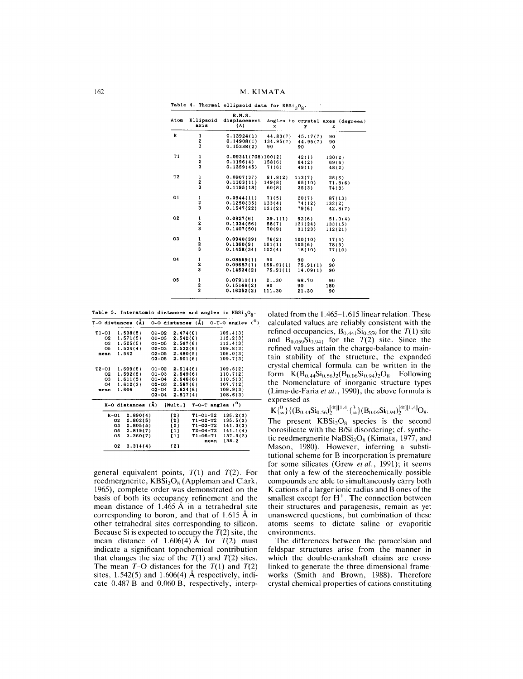162 M. KIMATA

| Atom           | Ellipsoid<br>axis | R.M.S.<br>displacement<br>(A) | x         | у        | Angles to crystal axes (degrees)<br>z |
|----------------|-------------------|-------------------------------|-----------|----------|---------------------------------------|
| ĸ              | 1                 | 0.13924(1)                    | 44.83(7)  | 45.17(7) | 90                                    |
|                | 2<br>3            | 0.14908(1)                    | 134.95(7) | 44.95(7) | 90                                    |
|                |                   | 0.15338(2)                    | 90        | 90       | $\mathbf 0$                           |
| T1             |                   | 0.09341(708)100(2)            |           | 42(1)    | 130(2)                                |
|                | $\frac{1}{2}$     | $0.1196(4)$ 158(6)            |           | 84(2)    | 69(6)                                 |
|                |                   | 0.1359(45)                    | 71(6)     | 49(1)    | 48(2)                                 |
| T <sub>2</sub> |                   | 0.0907(37)                    | 81.8(2)   | 113(7)   | 25(6)                                 |
|                | $\frac{1}{2}$     | 0.1103(11)                    | 149(8)    | 65(10)   | 71.8(6)                               |
|                |                   | 0.1195(18)                    | 60(8)     | 35(3)    | 74(8)                                 |
| 01             |                   | 0.0944(11)                    | 71(5)     | 20(7)    | 87(13)                                |
|                |                   | 0.1250(35)                    | 133(4)    | 74 (12)  | 133(2)                                |
|                | $\frac{1}{2}$     | 0.1547(22)                    | 131(2)    | 79(6)    | 42.8(7)                               |
| O <sub>2</sub> | $\mathbf{1}$      | 0.0827(6)                     | 39.1(1)   | $-92(6)$ | 51.0(4)                               |
|                |                   | 0.1334(56)                    | 58(7)     | 121(24)  | 133(15)                               |
|                | $\frac{2}{3}$     | 0.1407(50)                    | 70(9)     | 31(23)   | 112(21)                               |
| 03             |                   | 0.0940(39)                    | 76(2)     | 100(10)  | 17(4)                                 |
|                | $\frac{1}{2}$     | 0.1360(9)                     | 161(1)    | 105(6)   | 78(5)                                 |
|                |                   | 0.1458(34)                    | 102(4)    | 18(10)   | 77(10)                                |
| 04             | 1                 | 0.08559(1)                    | 90        | 90       | $\Omega$                              |
|                | 2                 | 0.09687(1)                    | 165.91(1) | 75.91(1) | 90                                    |
|                | 3                 | 0.14534(2)                    | 75.91(1)  | 14.09(1) | 90                                    |
| O <sub>5</sub> |                   | 0.07911(1)                    | 21.30     | 68.70    | 90                                    |
|                |                   | 0.15168(2)                    | 90        | 90       | 180                                   |
|                | 1<br>2<br>3       | 0.16252(2)                    | 111.30    | 21.30    | 90                                    |
|                |                   |                               |           |          |                                       |

**Table 4. Thermal ellipsoid data for KBSi J08'**

**Table** 5. **Interatomic distances** and **angles** in  $KBSi<sub>3</sub>O<sub>8</sub>$ .

| T-O distances (A) |      |          |          | $0-0$ distances $(\lambda)$ |          |                |      | $0-T-0$ angles $(^\circ)$          |  |
|-------------------|------|----------|----------|-----------------------------|----------|----------------|------|------------------------------------|--|
| T1-01             |      | 1.538(5) |          | 01-02                       | 2.474(6) |                |      | 105.4(3)                           |  |
| О2                |      | 1.571(5) |          | $01 - 03$                   | 2.542(6) |                |      | 112.2(3)                           |  |
| ОЗ.               |      | 1.525(5) |          | 01-05                       | 2.567(6) |                |      | 113.4(3)                           |  |
| O5                |      | 1.534(4) |          | 02-03                       | 2.532(6) |                |      | 109.8(3)                           |  |
| mean              |      | 1.542    |          | $02 - 05$ 2.480(5)          |          |                |      | 106.0(3)                           |  |
|                   |      |          |          | 03-05                       | 2.501(6) |                |      | 109.7(3)                           |  |
| T2-01             |      | 1.609(5) |          | 01-02                       | 2.614(6) |                |      | 109.5(2)                           |  |
| O2                |      | 1.592(5) |          | 01-03                       | 2.649(6) |                |      | 110.7(2)                           |  |
| ОЗ.               |      | 1.611(5) |          | $01 - 04$ 2.646(6)          |          |                |      | 110.5(3)                           |  |
| 04                |      | 1.612(3) |          | $02 - 03$ 2.587(6)          |          |                |      | 107.7(2)                           |  |
| mean              |      | 1.606    |          | $02 - 04$ $2.624(6)$        |          |                |      | 109.9(3)                           |  |
|                   |      |          |          | 03-04                       | 2.617(4) |                |      | 108.6(3)                           |  |
|                   |      |          |          | K-O distances (Å)           |          |                |      | $[Multi.]$ T-O-T angles $(^\circ)$ |  |
|                   | K-01 |          | 2.890(4) |                             | {2}      | T1-01-T2       |      | 135.2(3)                           |  |
|                   | 02   |          | 2.802(5) |                             | [2]      | T1-02-T2       |      | 135.5(3)                           |  |
|                   | О3   |          | 2.805(5) |                             | [2]      | $T1 - 03 - T2$ |      | 141.3(3)                           |  |
|                   | 05   |          | 2,819(7) |                             | [1]      | T2-04-T2       |      | 141.1(4)                           |  |
|                   | 05   |          | 3.260(7) |                             | [1]      | $T1 - 05 - T1$ |      | 137.9(2)                           |  |
|                   |      |          |          |                             |          |                | mean | 138.2                              |  |
|                   | 02   |          | 3.314(4) |                             | 12)      |                |      |                                    |  |
|                   |      |          |          |                             |          |                |      |                                    |  |

general equivalent points,  $T(1)$  and  $T(2)$ . For reedmergnerite,  $KBSi<sub>3</sub>O<sub>8</sub>$  (Appleman and Clark, 1965), complete order was demonstrated on the basis of both its occupancy refinement and the mean distance of  $1.465 \text{ Å}$  in a tetrahedral site corresponding to boron, and that of  $1.615 \text{ Å}$  in other tetrahedral sites corresponding to silicon. Because Si is expected to occupy the  $T(2)$  site, the mean distance of  $1.606(4)$  Å for  $T(2)$  must indicate a significant topochemical contribution that changes the size of the  $T(1)$  and  $T(2)$  sites. The mean *T-O* distances for the *T(1)* and *T(2)* sites,  $1.542(5)$  and  $1.606(4)$  Å respectively, indicate  $0.487 B$  and  $0.060 B$ , respectively, interp-

olated from the 1.465-1.615 linear relation. These calculated values are reliably consistent with the refined occupancies,  $B_{0.441}Si_{0.559}$  for the *T*(1) site and  $B_{0.059}Si_{0.941}$  for the *T*(2) site. Since the rcfined values attain the charge-balance to maintain stability of the structure, the expanded crystal-chemical formula can be written in the form  $K(B_{0.44}Si_{0.56})_2(B_{0.06}Si_{0.94})_2O_8$ . Following the Nomenclature of inorganic structure types (Lima-de-Faria *et al.,* 1990), the above formula is expressed as

 $K_{\alpha}^{0}\}\{(B_{0.44}Si_{0.56})_{2}^{[4t][1.4]}\{\frac{3}{\infty}\}(B_{0.06}Si_{0.94})_{2}^{[4t][1.4]}O_8.$ 

The present  $KBSi<sub>3</sub>O<sub>8</sub>$  species is the second borosilicate with the B/Si disordering; cf. synthetic reedmergnerite  $NaBSi<sub>3</sub>O<sub>8</sub>$  (Kimata, 1977, and Mason, 1980). However, inferring a substitutional scheme for B incorporation is premature for some silicates (Grew *et al.,* 1991); it seems that only a few of the stereochemically possible compounds are able to simultaneously carry both K cations of a larger ionic radius and B ones of the smallest except for  $H^+$ . The connection between their structures and paragenesis, remain as yet unanswered questions, but combination of these atoms seems to dictate saline or evaporitic environments.

The differences between the paracelsian and feldspar structures arise from the manner in which the double-crankshaft chains are crosslinked to generate the three-dimensional frameworks (Smith and Brown, 1988). Therefore crystal chemical properties of cations constituting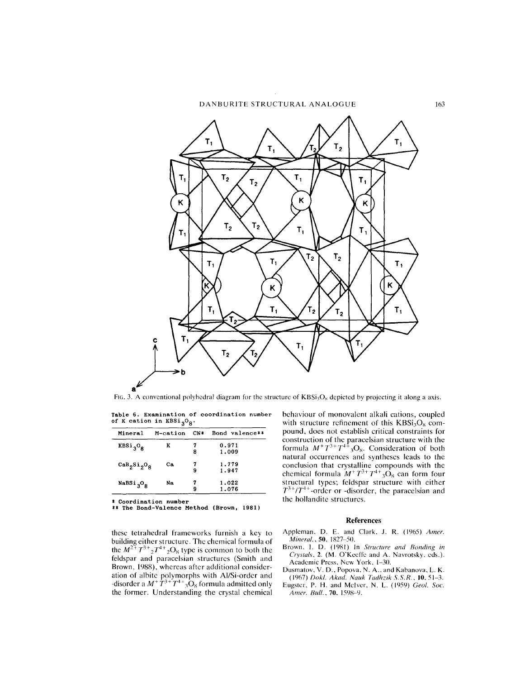

FIG. 3. A conventional polyhedral diagram for the structure of  $KBSi<sub>3</sub>O<sub>8</sub>$  depicted by projecting it along a axis.

Table 6. Examination of coordination number of K cation in KBSi<sub>3</sub>O<sub>8</sub>.

| Mineral                              | M-cation | $CN*$  | Bond valence** |
|--------------------------------------|----------|--------|----------------|
| $KBSi_3O_8$                          | K        | 8      | 0.971<br>1.009 |
| $\text{CaB}_2\text{Si}_2\text{O}_8$  | Сa       | 7<br>9 | 1.779<br>1.947 |
| $N$ aBSi <sub>3</sub> O <sub>8</sub> | Nа       | 7<br>9 | 1.022<br>1.076 |

Coordination number

\* **\*\*** The Bond-Valence Method (Brown, 19S1)

thesc tetrahedral frameworks furnish a kcy to building either structure. The chemical formula of the  $M^{2+}T^{3+}{}_{2}T^{4+}{}_{2}O_8$  type is common to both the feldspar and paracelsian structures (Smith and Brown, 1988), whereas after additional consideration of albite polymorphs with Al/Si-ordcr and -disorder a  $M^+ T^{3+} T^{4+}$  3O<sub>8</sub> formula admitted only the former. Understanding the crystal chemical behaviour of monovalcnt alkali cations, coupled with structure refinement of this  $KBSi<sub>3</sub>O<sub>8</sub>$  compound, does not establish critical constraints for construction of the paracelsian structure with the formula  $M^+T^{3+}T^{4+}_3O_8$ . Consideration of both<br>natural occurrences and syntheses leads to the conclusion that crystalline compounds with the chemical formula  $M^+T^{3+}T^{4+}$ <sub>3</sub>O<sub>8</sub> can form four structural types; feldspar structure with either  $T^{3+}/T^{4+}$ -order or -disorder, the paracelsian and the hollandite structures.

#### **References**

- Appleman, D. E. and Clark, J. R. (1965) Amer. *Mineral.*, 50, 1827-50.
- Brown, I. D. (1981) In *Structure and Bonding in Crystals,* 2. (M. O'Keeffe and A. Navrotsky, cds.). Academic Press, New York, 1-30.
- Dusmatov, V. D., Popova, N. A.. and Kabanova, L. K. (]l)67) *Dokl. Akad. Nauk Tadhzik S.S.R.,* 10,51-3.
- Eugster, P. H. and McIver, N. L. (1959) *Geol. Soc. Amer. Bull.*, 70, 1598-9.